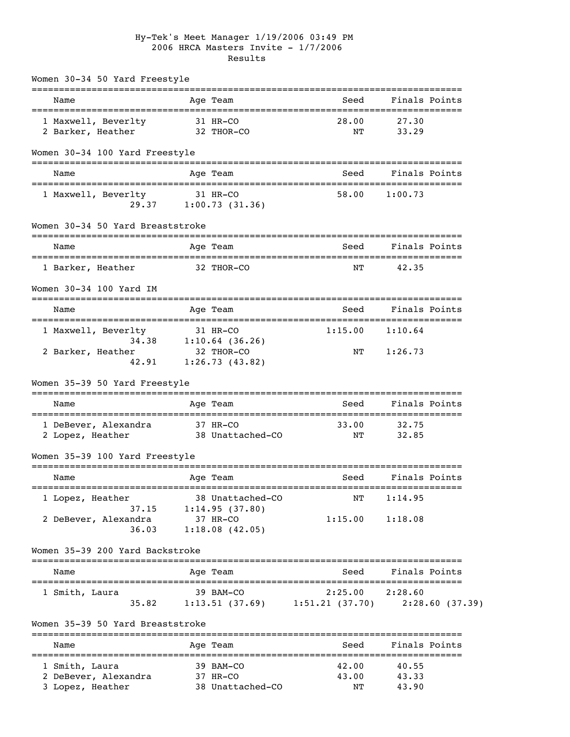## Hy-Tek's Meet Manager 1/19/2006 03:49 PM 2006 HRCA Masters Invite - 1/7/2006 Results

| Women 30-34 50 Yard Freestyle                                 |          |                              |                |               |                |
|---------------------------------------------------------------|----------|------------------------------|----------------|---------------|----------------|
| Name                                                          |          | Age Team                     | Seed           | Finals Points |                |
| 1 Maxwell, Beverlty                                           |          | 31 HR-CO                     | 28.00          | 27.30         |                |
| 2 Barker, Heather                                             |          | 32 THOR-CO                   | NΤ             | 33.29         |                |
| Women 30-34 100 Yard Freestyle                                |          | -----------                  |                |               |                |
| Name                                                          |          | Age Team                     | Seed           | Finals Points |                |
| 1 Maxwell, Beverlty                                           |          | 31 HR-CO                     | 58.00          | 1:00.73       |                |
| 29.37                                                         |          | 1:00.73(31.36)               |                |               |                |
| Women 30-34 50 Yard Breaststroke                              |          |                              |                |               |                |
| Name                                                          |          | Age Team                     | Seed           |               | Finals Points  |
| 1 Barker, Heather                                             |          | 32 THOR-CO                   | NΤ             | 42.35         |                |
| Women 30-34 100 Yard IM                                       |          |                              |                |               |                |
| Name                                                          |          | Age Team                     | Seed           | Finals Points |                |
| ======================================<br>1 Maxwell, Beverlty | 31 HR-CO |                              | 1:15.00        | 1:10.64       |                |
|                                                               |          | 34.38 1:10.64 (36.26)        |                |               |                |
| 2 Barker, Heather<br>42.91                                    |          | 32 THOR-CO<br>1:26.73(43.82) | ΝT             | 1:26.73       |                |
| Women 35-39 50 Yard Freestyle                                 |          |                              |                |               |                |
| Name                                                          |          | Age Team                     | Seed           | Finals Points |                |
| 1 DeBever, Alexandra                                          | 37 HR-CO |                              | 33.00          | 32.75         |                |
| 2 Lopez, Heather                                              |          | 38 Unattached-CO             | NΤ             | 32.85         |                |
| Women 35-39 100 Yard Freestyle                                |          |                              |                |               |                |
| Name                                                          |          | Age Team                     | Seed           | Finals Points |                |
| 1 Lopez, Heather                                              |          | 38 Unattached-CO             | NΤ             | 1:14.95       |                |
| 37.15<br>2 DeBever, Alexandra                                 |          | 1:14.95(37.80)<br>37 HR-CO   | 1:15.00        | 1:18.08       |                |
| 36.03                                                         |          | 1:18.08(42.05)               |                |               |                |
| Women 35-39 200 Yard Backstroke                               |          |                              |                |               |                |
| ;==============================<br>Name                       |          | ----------<br>Age Team       | Seed           | Finals Points |                |
| =====================================<br>1 Smith, Laura       |          | 39 BAM-CO                    | 2:25.00        | 2:28.60       |                |
| 35.82                                                         |          | 1:13.51(37.69)               | 1:51.21(37.70) |               | 2:28.60(37.39) |
| Women 35-39 50 Yard Breaststroke                              |          |                              |                |               |                |
| Name                                                          |          | Age Team                     | Seed           |               | Finals Points  |
| 1 Smith, Laura                                                |          | 39 BAM-CO                    | 42.00          | 40.55         |                |
| 2 DeBever, Alexandra                                          |          | 37 HR-CO                     | 43.00          | 43.33         |                |
| 3 Lopez, Heather                                              |          | 38 Unattached-CO             | ΝT             | 43.90         |                |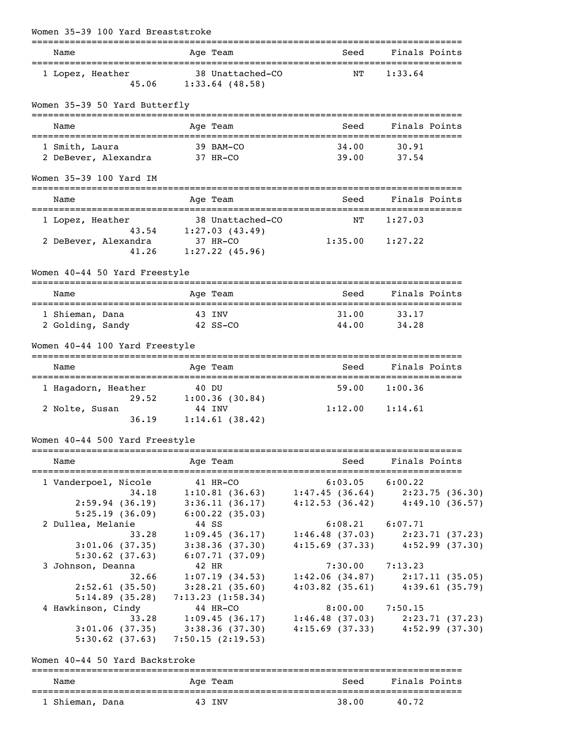| Women 35-39 100 Yard Breaststroke<br>=============================== |        |                                       | :=====================                                |               |                |
|----------------------------------------------------------------------|--------|---------------------------------------|-------------------------------------------------------|---------------|----------------|
| Name                                                                 |        | Age Team                              | Seed                                                  | Finals Points |                |
| 1 Lopez, Heather<br>45.06                                            |        | 38 Unattached-CO<br>$1:33.64$ (48.58) | ΝT                                                    | 1:33.64       |                |
| Women 35-39 50 Yard Butterfly                                        |        | =============                         |                                                       |               |                |
| Name                                                                 |        | Age Team                              | Seed                                                  |               | Finals Points  |
| 1 Smith, Laura                                                       |        | 39 BAM-CO                             | 34.00                                                 | 30.91         |                |
| 2 DeBever, Alexandra 37 HR-CO                                        |        |                                       | 39.00                                                 | 37.54         |                |
| Women 35-39 100 Yard IM                                              |        |                                       |                                                       |               |                |
| Name                                                                 |        | Age Team                              | Seed                                                  | Finals Points |                |
| 1 Lopez, Heather                                                     |        | 38 Unattached-CO                      | NΤ                                                    | 1:27.03       |                |
| 2 DeBever, Alexandra                                                 |        | 43.54 1:27.03 (43.49)<br>37 HR-CO     | $1:35.00$ $1:27.22$                                   |               |                |
| 41.26                                                                |        | $1:27.22$ (45.96)                     |                                                       |               |                |
| Women 40-44 50 Yard Freestyle                                        |        |                                       |                                                       |               |                |
| Name                                                                 |        | ======<br>Age Team                    | Seed                                                  |               | Finals Points  |
| 1 Shieman, Dana                                                      | 43 INV |                                       | 31.00                                                 | 33.17         |                |
| 2 Golding, Sandy<br>Women 40-44 100 Yard Freestyle                   |        | 42 SS-CO                              | 44.00                                                 | 34.28         |                |
| Name                                                                 |        | Age Team                              | Seed                                                  |               | Finals Points  |
| 1 Hagadorn, Heather                                                  | 40 DU  |                                       | 59.00                                                 | 1:00.36       |                |
| 29.52                                                                |        | 1:00.36(30.84)                        | $1:12.00$ $1:14.61$                                   |               |                |
| 2 Nolte, Susan<br>36.19                                              |        | 44 INV<br>1:14.61(38.42)              |                                                       |               |                |
| Women 40-44 500 Yard Freestyle                                       |        |                                       |                                                       |               |                |
| Name                                                                 |        | Age Team                              | Seed                                                  |               | Finals Points  |
| 1 Vanderpoel, Nicole 41 HR-CO                                        |        |                                       | $6:03.05$ $6:00.22$                                   |               |                |
| 34.18                                                                |        |                                       | $1:10.81$ (36.63) $1:47.45$ (36.64) $2:23.75$ (36.30) |               |                |
| 2:59.94(36.19)                                                       |        | 3:36.11(36.17)                        | $4:12.53$ (36.42) $4:49.10$ (36.57)                   |               |                |
| 5:25.19(36.09)                                                       |        | $6:00.22$ (35.03)                     |                                                       |               |                |
| 2 Dullea, Melanie<br>33.28                                           |        | 44 SS<br>1:09.45(36.17)               | $6:08.21$ $6:07.71$<br>1:46.48(37.03)                 |               | 2:23.71(37.23) |
| 3:01.06(37.35)                                                       |        | 3:38.36(37.30)                        | 4:15.69(37.33)                                        |               | 4:52.99(37.30) |
| 5:30.62(37.63)                                                       |        | 6:07.71(37.09)                        |                                                       |               |                |
| 3 Johnson, Deanna                                                    |        | 42 HR                                 | $7:30.00$ $7:13.23$                                   |               |                |
| 32.66                                                                |        | 1:07.19(34.53)                        | 1:42.06(34.87)                                        |               | 2:17.11(35.05) |
| 2:52.61(35.50)                                                       |        | 3:28.21(35.60)                        | $4:03.82$ (35.61)                                     |               | 4:39.61(35.79) |
| 5:14.89(35.28)                                                       |        | 7:13.23(1:58.34)                      |                                                       |               |                |
| 4 Hawkinson, Cindy                                                   |        | 44 HR-CO                              | $8:00.00$ 7:50.15                                     |               |                |
| 33.28                                                                |        | 1:09.45(36.17)                        | 1:46.48(37.03)                                        |               | 2:23.71(37.23) |
| 3:01.06(37.35)                                                       |        | 3:38.36(37.30)                        | $4:15.69$ (37.33) $4:52.99$ (37.30)                   |               |                |
| 5:30.62(37.63)                                                       |        | 7:50.15(2:19.53)                      |                                                       |               |                |

Women 40-44 50 Yard Backstroke

| Name            | Age Team | Seed  | Finals Points |
|-----------------|----------|-------|---------------|
| 1 Shieman, Dana | 43 INV   | 38.00 | 40.72         |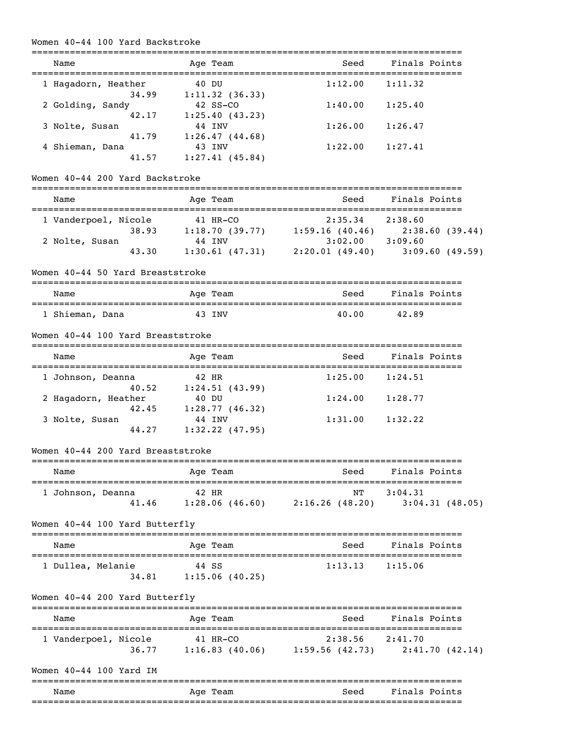## Women 40-44 100 Yard Backstroke

| Name                              | Age Team                                                          | Seed                              | Finals Points                                         |
|-----------------------------------|-------------------------------------------------------------------|-----------------------------------|-------------------------------------------------------|
| 1 Hagadorn, Heather               | 40 DU                                                             | 1:12.00                           | 1:11.32                                               |
| 34.99<br>2 Golding, Sandy         | 1:11.32(36.33)<br>42 SS-CO                                        | $1:40.00$ $1:25.40$               |                                                       |
| 42.17                             | 1:25.40(43.23)                                                    |                                   |                                                       |
| 3 Nolte, Susan<br>41.79           | 44 INV<br>1:26.47(44.68)                                          | $1:26.00$ $1:26.47$               |                                                       |
| 4 Shieman, Dana                   | 43 INV                                                            | $1:22.00$ $1:27.41$               |                                                       |
| 41.57                             | 1:27.41(45.84)                                                    |                                   |                                                       |
| Women 40-44 200 Yard Backstroke   |                                                                   |                                   |                                                       |
| Name                              | Age Team                                                          | Seed                              | Finals Points                                         |
| 1 Vanderpoel, Nicole              | 41 HR-CO                                                          | $2:35.34$ $2:38.60$               |                                                       |
|                                   | 38.93 1:18.70 (39.77) 1:59.16 (40.46) 2:38.60 (39.44)             |                                   |                                                       |
| 2 Nolte, Susan                    | 44 INV                                                            | $3:02.00$ $3:09.60$               |                                                       |
| 43.30                             |                                                                   |                                   | $1:30.61$ (47.31) $2:20.01$ (49.40) $3:09.60$ (49.59) |
| Women 40-44 50 Yard Breaststroke  |                                                                   |                                   |                                                       |
| Name                              | Age Team                                                          |                                   | Seed Finals Points                                    |
| 1 Shieman, Dana                   | 43 INV                                                            | 40.00                             | 42.89                                                 |
| Women 40-44 100 Yard Breaststroke |                                                                   |                                   |                                                       |
| Name                              | Age Team                                                          | Seed                              | Finals Points                                         |
|                                   |                                                                   |                                   |                                                       |
| 1 Johnson, Deanna<br>40.52        | 42 HR<br>1:24.51(43.99)                                           | $1:25.00$ $1:24.51$               |                                                       |
| 2 Hagadorn, Heather               | 40 DU                                                             | 1:24.00                           | 1:28.77                                               |
|                                   | 42.45 1:28.77 (46.32)                                             |                                   |                                                       |
| 3 Nolte, Susan                    | 44 INV                                                            | $1:31.00$ $1:32.22$               |                                                       |
| 44.27                             | $1:32.22$ (47.95)                                                 |                                   |                                                       |
| Women 40-44 200 Yard Breaststroke |                                                                   |                                   |                                                       |
| Name                              | Age Team                                                          | Seed                              | Finals Points                                         |
| 1 Johnson, Deanna                 | 42 HR                                                             | NΤ                                | 3:04.31                                               |
| 41.46                             |                                                                   | $1:28.06(46.60)$ $2:16.26(48.20)$ | 3:04.31(48.05)                                        |
| Women 40-44 100 Yard Butterfly    |                                                                   |                                   |                                                       |
| Name                              | Age Team                                                          | Seed                              | Finals Points                                         |
| 1 Dullea, Melanie                 | 44 SS                                                             | 1:13.13                           | 1:15.06                                               |
|                                   | 34.81   1:15.06 (40.25)                                           |                                   |                                                       |
| Women 40-44 200 Yard Butterfly    |                                                                   |                                   |                                                       |
| Name                              | Age Team                                                          |                                   | Seed Finals Points                                    |
|                                   |                                                                   |                                   |                                                       |
| 1 Vanderpoel, Nicole<br>36.77     | 41 HR-CO<br>$1:16.83$ (40.06) $1:59.56$ (42.73) $2:41.70$ (42.14) | $2:38.56$ $2:41.70$               |                                                       |
|                                   |                                                                   |                                   |                                                       |
| Women 40-44 100 Yard IM           |                                                                   |                                   |                                                       |
| Name                              | Age Team                                                          | Seed                              | Finals Points                                         |
|                                   |                                                                   |                                   |                                                       |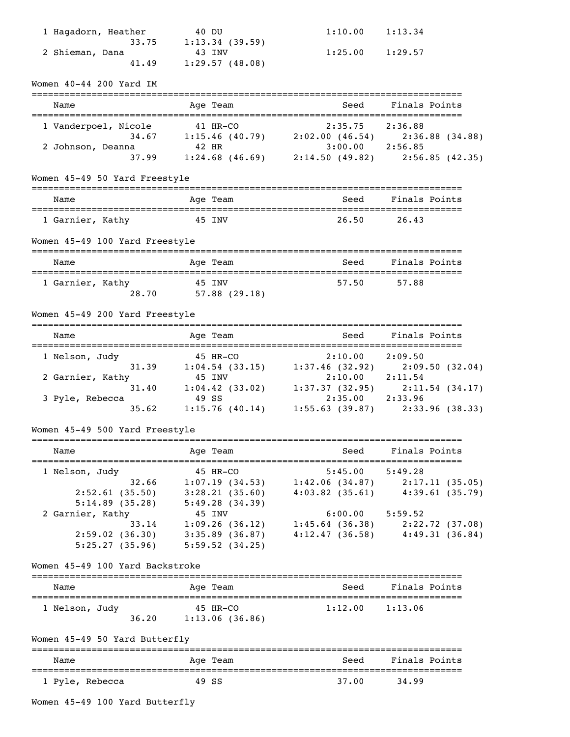| 1 Hagadorn, Heather                           | 40 DU                                                                                                                                                                                                                                                                                                                              | 1:10.00             | 1:13.34                                                     |
|-----------------------------------------------|------------------------------------------------------------------------------------------------------------------------------------------------------------------------------------------------------------------------------------------------------------------------------------------------------------------------------------|---------------------|-------------------------------------------------------------|
|                                               | $33.75$ 1:13.34 (39.59)                                                                                                                                                                                                                                                                                                            |                     |                                                             |
| 2 Shieman, Dana<br>41.49                      | 43 INV<br>1:29.57(48.08)                                                                                                                                                                                                                                                                                                           | $1:25.00$ $1:29.57$ |                                                             |
| Women 40-44 200 Yard IM                       |                                                                                                                                                                                                                                                                                                                                    |                     |                                                             |
| Name                                          | Age Team                                                                                                                                                                                                                                                                                                                           | Seed                | Finals Points                                               |
| 1 Vanderpoel, Nicole 41 HR-CO                 |                                                                                                                                                                                                                                                                                                                                    | $2:35.75$ $2:36.88$ |                                                             |
|                                               | cole 41 HR-CO 2:35.75 2:36.88 (34.88)<br>34.67 1:15.46 (40.79) 2:02.00 (46.54) 2:36.88 (34.88)                                                                                                                                                                                                                                     |                     |                                                             |
| 2 Johnson, Deanna                             | 42 HR<br>37.99 1:24.68 (46.69) 2:14.50 (49.82) 2:56.85 (42.35)                                                                                                                                                                                                                                                                     | $3:00.00$ 2:56.85   |                                                             |
| Women 45-49 50 Yard Freestyle                 |                                                                                                                                                                                                                                                                                                                                    |                     |                                                             |
| Name                                          | Age Team                                                                                                                                                                                                                                                                                                                           |                     | Seed Finals Points                                          |
| 1 Garnier, Kathy                              | 45 INV                                                                                                                                                                                                                                                                                                                             | 26.50               | 26.43                                                       |
| Women 45-49 100 Yard Freestyle                |                                                                                                                                                                                                                                                                                                                                    |                     |                                                             |
|                                               |                                                                                                                                                                                                                                                                                                                                    |                     |                                                             |
| Name                                          | Age Team                                                                                                                                                                                                                                                                                                                           | Seed                | Finals Points                                               |
| 1 Garnier, Kathy                              | 45 INV<br>28.70 57.88 (29.18)                                                                                                                                                                                                                                                                                                      |                     | 57.50 57.88                                                 |
| Women 45-49 200 Yard Freestyle                |                                                                                                                                                                                                                                                                                                                                    |                     |                                                             |
| Name                                          | Age Team                                                                                                                                                                                                                                                                                                                           | Seed                | Finals Points                                               |
| 1 Nelson, Judy                                | $\begin{array}{ccccccccc}\n & 45 & \text{HR-CO} & & 2:10.00 & & 2:05.50 & & 32.04 \\  & & 1:04.54 & (33.15) & & 1:37.46 & (32.92) & & 2:09.50 & (32.04) \\  & & 45 & \text{INV} & & 2:10.00 & & 2:11.54 & & \\  & & 31.40 & & 1:04.42 & (33.02) & & 1:37.37 & (32.95) & & 2:11.54 & (34.17) \\  & & & & & & & & & & & & & & & & &$ |                     |                                                             |
| 2 Garnier, Kathy                              |                                                                                                                                                                                                                                                                                                                                    |                     |                                                             |
|                                               |                                                                                                                                                                                                                                                                                                                                    |                     |                                                             |
| 3 Pyle, Rebecca                               |                                                                                                                                                                                                                                                                                                                                    |                     | $1:15.76$ (40.14) $1:55.63$ (39.87) $2:33.96$ (38.33)       |
| 35.62                                         |                                                                                                                                                                                                                                                                                                                                    |                     |                                                             |
| Women 45-49 500 Yard Freestyle                |                                                                                                                                                                                                                                                                                                                                    |                     | ________________________________                            |
| Name<br>===================================== | Age Team                                                                                                                                                                                                                                                                                                                           | Seed                | Finals Points                                               |
| 1 Nelson, Judy                                | 45 HR-CO                                                                                                                                                                                                                                                                                                                           | $5:45.00$ $5:49.28$ |                                                             |
| 32.66                                         |                                                                                                                                                                                                                                                                                                                                    |                     | $1:07.19$ $(34.53)$ $1:42.06$ $(34.87)$ $2:17.11$ $(35.05)$ |
| 2:52.61(35.50)<br>5:14.89(35.28)              | 3:28.21(35.60)<br>5:49.28(34.39)                                                                                                                                                                                                                                                                                                   | $4:03.82$ (35.61)   | 4:39.61(35.79)                                              |
| 2 Garnier, Kathy                              | 45 INV                                                                                                                                                                                                                                                                                                                             | $6:00.00$ 5:59.52   |                                                             |
|                                               | 33.14 1:09.26 (36.12) 1:45.64 (36.38) 2:22.72 (37.08)                                                                                                                                                                                                                                                                              |                     |                                                             |
| 2:59.02(36.30)<br>5:25.27(35.96)              | $3:35.89$ (36.87)<br>5:59.52(34.25)                                                                                                                                                                                                                                                                                                |                     | $4:12.47$ (36.58) $4:49.31$ (36.84)                         |
| Women 45-49 100 Yard Backstroke               |                                                                                                                                                                                                                                                                                                                                    |                     |                                                             |
|                                               |                                                                                                                                                                                                                                                                                                                                    |                     |                                                             |
| Name                                          | Age Team                                                                                                                                                                                                                                                                                                                           | Seed                | Finals Points                                               |
| 1 Nelson, Judy<br>36.20                       | 45 HR-CO<br>1:13.06(36.86)                                                                                                                                                                                                                                                                                                         | 1:12.00             | 1:13.06                                                     |
| Women 45-49 50 Yard Butterfly                 | -------                                                                                                                                                                                                                                                                                                                            |                     |                                                             |
| Name                                          | Age Team                                                                                                                                                                                                                                                                                                                           | Seed                | Finals Points                                               |
| 1 Pyle, Rebecca                               | 49 SS                                                                                                                                                                                                                                                                                                                              | 37.00               | 34.99                                                       |
| Women 45-49 100 Yard Butterfly                |                                                                                                                                                                                                                                                                                                                                    |                     |                                                             |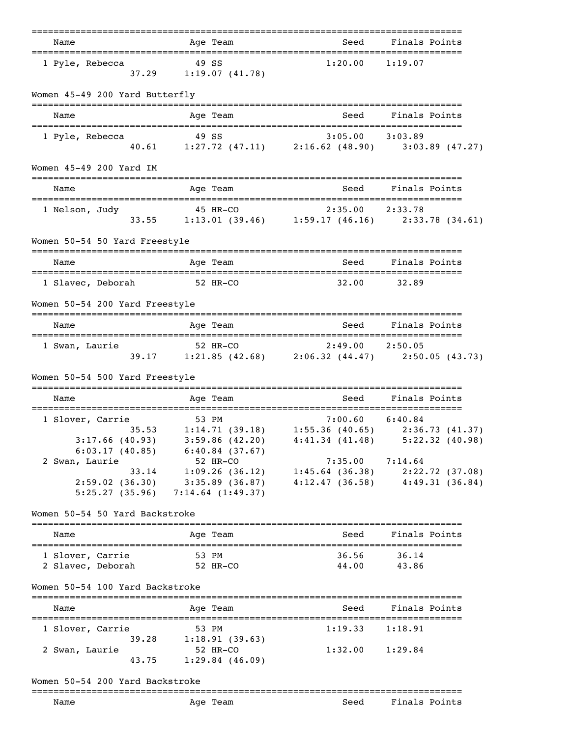| Name                                        | ========<br>Age Team                                                                                                                          | --------------------------------------                                       | Seed Finals Points        |
|---------------------------------------------|-----------------------------------------------------------------------------------------------------------------------------------------------|------------------------------------------------------------------------------|---------------------------|
| 1 Pyle, Rebecca                             | 49 SS<br>$37.29$ 1:19.07 (41.78)                                                                                                              | 1:20.00                                                                      | 1:19.07                   |
| Women 45-49 200 Yard Butterfly              |                                                                                                                                               |                                                                              |                           |
| Name                                        | Age Team                                                                                                                                      | Seed                                                                         | Finals Points             |
| 1 Pyle, Rebecca                             | 49 SS<br>40.61 1:27.72 (47.11) 2:16.62 (48.90) 3:03.89 (47.27)                                                                                | $3:05.00$ $3:03.89$                                                          |                           |
| Women 45-49 200 Yard IM                     |                                                                                                                                               |                                                                              |                           |
| Name<br>=================================== | Age Team                                                                                                                                      |                                                                              | Seed Finals Points        |
| 1 Nelson, Judy                              | 45 HR-CO<br>33.55 1:13.01 (39.46) 1:59.17 (46.16) 2:33.78 (34.61)                                                                             |                                                                              |                           |
| Women 50-54 50 Yard Freestyle               |                                                                                                                                               |                                                                              |                           |
| Name                                        | Age Team                                                                                                                                      |                                                                              | Seed Finals Points        |
| 1 Slavec, Deborah                           | 52 HR-CO                                                                                                                                      | 32.00                                                                        | 32.89                     |
| Women 50-54 200 Yard Freestyle              |                                                                                                                                               |                                                                              |                           |
| Name                                        | Age Team                                                                                                                                      |                                                                              | Seed Finals Points        |
| 1 Swan, Laurie                              | $52$ HR-CO $2:49.00$ $2:50.05$<br>39.17 1:21.85 (42.68) 2:06.32 (44.47) 2:50.05 (43.73)                                                       |                                                                              |                           |
| Women 50-54 500 Yard Freestyle              |                                                                                                                                               |                                                                              |                           |
| Name                                        | Age Team                                                                                                                                      | Seed                                                                         | Finals Points             |
| 1 Slover, Carrie                            | ver, Carrie 53 PM<br>35.53 1:14.71 (39.18) 1:55.36 (40.65) 2:36.73 (41.37)<br>3:17.66 (40.93) 3:59.86 (42.20) 4:41.34 (41.48) 5:22.32 (40.98) |                                                                              |                           |
| 6:03.17(40.85)<br>2 Swan, Laurie<br>33.14   | 6:40.84(37.67)<br>52 HR-CO<br>$2:59.02$ (36.30) 3:35.89 (36.87)<br>$5:25.27$ (35.96) 7:14.64 (1:49.37)                                        | 7:35.00<br>1:09.26 (36.12) 1:45.64 (36.38) 2:22.72 (37.08)<br>4:12.47(36.58) | 7:14.64<br>4:49.31(36.84) |
| Women 50-54 50 Yard Backstroke              |                                                                                                                                               |                                                                              |                           |
| Name                                        | Age Team                                                                                                                                      | Seed                                                                         | Finals Points             |
| 1 Slover, Carrie<br>2 Slavec, Deborah       | 53 PM<br>52 HR-CO                                                                                                                             | 36.56<br>44.00                                                               | 36.14<br>43.86            |
| Women 50-54 100 Yard Backstroke             |                                                                                                                                               |                                                                              |                           |
| Name                                        | Age Team                                                                                                                                      | Seed                                                                         | Finals Points             |
| 1 Slover, Carrie<br>39.28<br>2 Swan, Laurie | 53 PM<br>1:18.91(39.63)<br>52 HR-CO                                                                                                           | 1:19.33<br>$1:32.00$ $1:29.84$                                               | 1:18.91                   |
| 43.75<br>Women 50-54 200 Yard Backstroke    | 1:29.84(46.09)                                                                                                                                |                                                                              |                           |

## ===============================================================================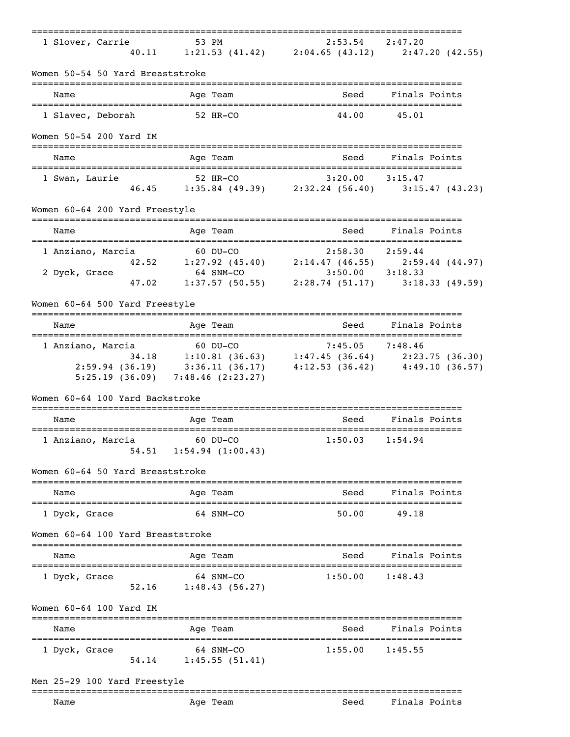| 1 Slover, Carrie                  | 53 PM<br>$\begin{array}{ccccccccc} 53 & \text{PM} & & & 2:53.54 & 2:47.20 \\ 40.11 & & 1:21.53 & (41.42) & & 2:04.65 & (43.12) & & 2:47.20 & (42.55) \end{array}$                                                                                                      |         |                                                              |
|-----------------------------------|------------------------------------------------------------------------------------------------------------------------------------------------------------------------------------------------------------------------------------------------------------------------|---------|--------------------------------------------------------------|
| Women 50-54 50 Yard Breaststroke  |                                                                                                                                                                                                                                                                        |         |                                                              |
| Name                              | Age Team                                                                                                                                                                                                                                                               | Seed    | Finals Points                                                |
| 1 Slavec, Deborah                 | 52 HR-CO                                                                                                                                                                                                                                                               | 44.00   | 45.01                                                        |
| Women 50-54 200 Yard IM           |                                                                                                                                                                                                                                                                        |         |                                                              |
| Name                              | Age Team                                                                                                                                                                                                                                                               | Seed    | Finals Points                                                |
| 1 Swan, Laurie                    | 52 HR-CO<br>46.45 1:35.84 (49.39) 2:32.24 (56.40) 3:15.47 (43.23)                                                                                                                                                                                                      |         |                                                              |
|                                   |                                                                                                                                                                                                                                                                        |         |                                                              |
| Women 60-64 200 Yard Freestyle    |                                                                                                                                                                                                                                                                        |         |                                                              |
| Name                              | Age Team                                                                                                                                                                                                                                                               | Seed    | Finals Points                                                |
| 1 Anziano, Marcia                 | $1:27.92$ (45.40)<br>$60$ DU-CO<br>$1:27.92$ (45.40)<br>$64$ SNM-CO<br>$1:20$<br>$64$ SNM-CO<br>$1:20$<br>$1:20$<br>$1:20$<br>$1:20$<br>$1:20$<br>$1:20$<br>$1:20$<br>$1:20$<br>$1:20$<br>$1:20$<br>$1:20$<br>$1:20$<br>$1:20$<br>$1:20$<br>$1:20$<br>$1:20$<br>$1:20$ |         |                                                              |
|                                   |                                                                                                                                                                                                                                                                        |         |                                                              |
| 2 Dyck, Grace<br>47.02            |                                                                                                                                                                                                                                                                        |         | 64 SNM-CO<br>1:37.57 (50.55) 2:28.74 (51.17) 3:18.33 (49.59) |
| Women 60-64 500 Yard Freestyle    |                                                                                                                                                                                                                                                                        |         |                                                              |
|                                   |                                                                                                                                                                                                                                                                        |         |                                                              |
| Name                              | Age Team                                                                                                                                                                                                                                                               | Seed    | Finals Points                                                |
| 1 Anziano, Marcia                 | 60 DU-CO                                                                                                                                                                                                                                                               |         |                                                              |
|                                   | ano, Marcia 60 DU-CO 7:45.05 7:48.46<br>34.18 1:10.81 (36.63) 1:47.45 (36.64) 2:23.75 (36.30)<br>2:59.94 (36.19) 3:36.11 (36.17) 4:12.53 (36.42) 4:49.10 (36.57)                                                                                                       |         |                                                              |
|                                   |                                                                                                                                                                                                                                                                        |         |                                                              |
|                                   | $5:25.19$ (36.09) 7:48.46 (2:23.27)                                                                                                                                                                                                                                    |         |                                                              |
| Women 60-64 100 Yard Backstroke   |                                                                                                                                                                                                                                                                        |         |                                                              |
| Name                              | Age Team                                                                                                                                                                                                                                                               | Seed    | Finals Points                                                |
| 1 Anziano, Marcia<br>54.51        | 60 DU-CO<br>$1:54.94$ $(1:00.43)$                                                                                                                                                                                                                                      | 1:50.03 | 1:54.94                                                      |
| Women 60-64 50 Yard Breaststroke  |                                                                                                                                                                                                                                                                        |         |                                                              |
|                                   |                                                                                                                                                                                                                                                                        |         |                                                              |
| Name<br>--------------------      | Age Team<br>--------------------------------------                                                                                                                                                                                                                     | Seed    | Finals Points<br>----------------                            |
| 1 Dyck, Grace                     | 64 SNM-CO                                                                                                                                                                                                                                                              | 50.00   | 49.18                                                        |
| Women 60-64 100 Yard Breaststroke |                                                                                                                                                                                                                                                                        |         |                                                              |
| Name                              | Age Team                                                                                                                                                                                                                                                               | Seed    | Finals Points                                                |
| 1 Dyck, Grace                     | 64 SNM-CO                                                                                                                                                                                                                                                              | 1:50.00 | 1:48.43                                                      |
|                                   | 52.16 1:48.43 (56.27)                                                                                                                                                                                                                                                  |         |                                                              |
| Women 60-64 100 Yard IM           |                                                                                                                                                                                                                                                                        |         |                                                              |
| Name                              | Age Team                                                                                                                                                                                                                                                               | Seed    | Finals Points                                                |
| 1 Dyck, Grace                     | 64 SNM-CO                                                                                                                                                                                                                                                              | 1:55.00 | 1:45.55                                                      |
|                                   | 54.14 1:45.55 (51.41)                                                                                                                                                                                                                                                  |         |                                                              |
| Men 25-29 100 Yard Freestyle      |                                                                                                                                                                                                                                                                        |         |                                                              |
|                                   |                                                                                                                                                                                                                                                                        |         |                                                              |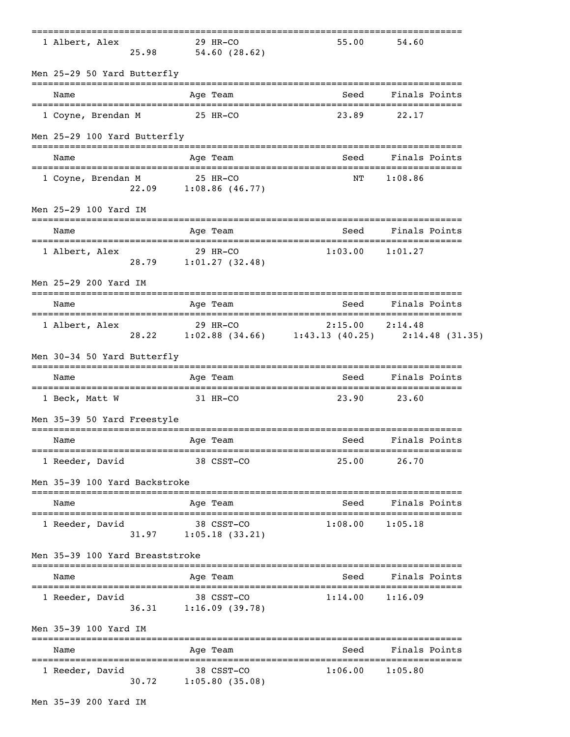| 1 Albert, Alex                  |       | 29 HR-CO<br>25.98 54.60 (28.62)         | 55.00                                                             | 54.60         |  |
|---------------------------------|-------|-----------------------------------------|-------------------------------------------------------------------|---------------|--|
| Men 25-29 50 Yard Butterfly     |       |                                         |                                                                   |               |  |
| Name                            |       | Age Team                                | Seed                                                              | Finals Points |  |
| 1 Coyne, Brendan M              |       | 25 HR-CO                                | 23.89                                                             | 22.17         |  |
| Men 25-29 100 Yard Butterfly    |       |                                         |                                                                   |               |  |
| Name                            |       | Age Team                                | Seed                                                              | Finals Points |  |
| 1 Coyne, Brendan M              |       | 25 HR-CO<br>22.09 1:08.86 (46.77)       | NT                                                                | 1:08.86       |  |
| Men 25-29 100 Yard IM           |       |                                         |                                                                   |               |  |
| Name                            |       | Age Team                                | Seed                                                              | Finals Points |  |
| 1 Albert, Alex                  |       | 29 HR-CO<br>28.79 1:01.27 (32.48)       | 1:03.00                                                           | 1:01.27       |  |
| Men 25-29 200 Yard IM           |       |                                         |                                                                   |               |  |
| Name                            |       | Age Team                                | Seed                                                              | Finals Points |  |
| 1 Albert, Alex                  |       |                                         | 29 HR-CO<br>28.22 1:02.88 (34.66) 1:43.13 (40.25) 2:14.48 (31.35) |               |  |
| Men 30-34 50 Yard Butterfly     |       |                                         |                                                                   |               |  |
| Name                            |       | Age Team                                | Seed                                                              | Finals Points |  |
| 1 Beck, Matt W                  |       | 31 HR-CO                                | 23.90                                                             | 23.60         |  |
| Men 35-39 50 Yard Freestyle     |       |                                         |                                                                   |               |  |
| Name                            |       | Age Team                                | Seed                                                              | Finals Points |  |
| 1 Reeder, David                 |       | 38 CSST-CO                              | 25.00                                                             | 26.70         |  |
| Men 35-39 100 Yard Backstroke   |       | =========                               |                                                                   |               |  |
| Name                            |       | Age Team                                | Seed                                                              | Finals Points |  |
| 1 Reeder, David                 |       | 38 CSST-CO<br>$31.97$ $1:05.18$ (33.21) | 1:08.00                                                           | 1:05.18       |  |
| Men 35-39 100 Yard Breaststroke |       |                                         |                                                                   |               |  |
| Name                            |       | Age Team                                | Seed                                                              | Finals Points |  |
| 1 Reeder, David                 | 36.31 | 38 CSST-CO<br>1:16.09(39.78)            | 1:14.00                                                           | 1:16.09       |  |
| Men 35-39 100 Yard IM           |       | ---------                               |                                                                   |               |  |
| Name                            |       | Age Team                                | Seed                                                              | Finals Points |  |
| 1 Reeder, David                 | 30.72 | 38 CSST-CO<br>$1:05.80$ (35.08)         | 1:06.00                                                           | 1:05.80       |  |
| Men 35-39 200 Yard IM           |       |                                         |                                                                   |               |  |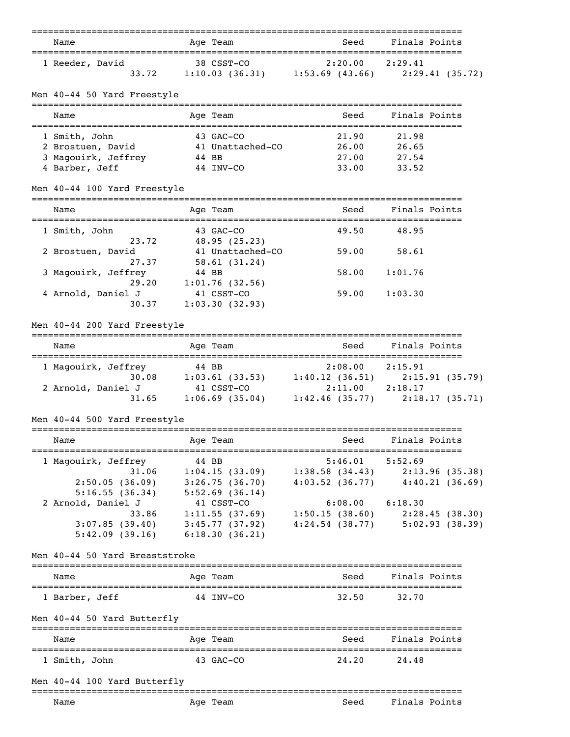| Name<br>___________________________________   | Age Team                                                            | Seed<br>______________________             | Finals Points                       |
|-----------------------------------------------|---------------------------------------------------------------------|--------------------------------------------|-------------------------------------|
| 1 Reeder, David<br>33.72                      | 38 CSST-CO<br>$1:10.03$ (36.31) $1:53.69$ (43.66) $2:29.41$ (35.72) | 2:20.00                                    | 2:29.41                             |
| Men 40-44 50 Yard Freestyle                   |                                                                     |                                            |                                     |
| Name                                          | Age Team                                                            | Seed                                       | Finals Points                       |
| 1 Smith, John                                 | 43 GAC-CO                                                           | 21.90                                      | 21.98                               |
| 2 Brostuen, David 41 Unattached-CO            |                                                                     | 26.00                                      | 26.65                               |
| 3 Magouirk, Jeffrey 44 BB                     |                                                                     | 27.00                                      | 27.54                               |
| 4 Barber, Jeff                                | 44 INV-CO                                                           | 33.00                                      | 33.52                               |
| Men 40-44 100 Yard Freestyle                  |                                                                     |                                            |                                     |
| Name<br>-=================================    | Age Team                                                            | Seed                                       | Finals Points<br>============       |
| 1 Smith, John                                 | 43 GAC-CO                                                           | 49.50                                      | 48.95                               |
| 23.72<br>2 Brostuen, David                    | 48.95(25.23)<br>41 Unattached-CO                                    | 59.00                                      | 58.61                               |
| 27.37                                         | 58.61 (31.24)                                                       |                                            |                                     |
| 3 Magouirk, Jeffrey                           | 44 BB                                                               | 58.00                                      | 1:01.76                             |
| 29.20                                         | 1:01.76(32.56)                                                      |                                            |                                     |
| 4 Arnold, Daniel J<br>30.37                   | 41 CSST-CO<br>1:03.30(32.93)                                        | 59.00                                      | 1:03.30                             |
| Men 40-44 200 Yard Freestyle                  |                                                                     |                                            |                                     |
| Name                                          | Age Team                                                            | Seed                                       | Finals Points                       |
| 1 Magouirk, Jeffrey                           | 44 BB                                                               | 2:08.00                                    | 2:15.91                             |
|                                               | $30.08$ 1:03.61 (33.53) 1:40.12 (36.51)                             |                                            | 2:15.91(35.79)                      |
| 2 Arnold, Daniel J                            | 41 CSST-CO                                                          | 2:11.00 2:18.17                            |                                     |
| 31.65                                         | $1:06.69$ (35.04) $1:42.46$ (35.77)                                 |                                            | 2:18.17(35.71)                      |
| Men 40-44 500 Yard Freestyle                  |                                                                     |                                            |                                     |
| Name                                          | Age Team                                                            | Seed                                       | Finals Points                       |
| 1 Magouirk, Jeffrey                           | 44 BB                                                               | $5:46.01$ $5:52.69$                        |                                     |
| 31.06                                         | $1:04.15(33.09)$ $1:38.58(34.43)$ $2:13.96(35.38)$                  |                                            |                                     |
| 2:50.05(36.09)                                | 3:26.75(36.70)                                                      | $4:03.52$ (36.77)                          | 4:40.21(36.69)                      |
| 5:16.55(36.34)                                | 5:52.69(36.14)                                                      |                                            |                                     |
| 2 Arnold, Daniel J                            | 41 CSST-CO                                                          | $6:08.00$ $6:18.30$                        |                                     |
| 33.86                                         | 1:11.55 (37.69) 1:50.15 (38.60) 2:28.45 (38.30)                     |                                            |                                     |
| 5:42.09(39.16)                                | $3:07.85$ (39.40) $3:45.77$ (37.92)<br>6:18.30(36.21)               |                                            | $4:24.54$ (38.77) $5:02.93$ (38.39) |
| Men 40-44 50 Yard Breaststroke                |                                                                     |                                            |                                     |
| Name                                          | Age Team                                                            | Seed                                       | Finals Points                       |
| 1 Barber, Jeff                                | 44 INV-CO                                                           | 32.50                                      | 32.70                               |
| Men 40-44 50 Yard Butterfly                   |                                                                     |                                            |                                     |
| Name                                          | Age Team                                                            | __________________________________<br>Seed | Finals Points                       |
|                                               |                                                                     |                                            |                                     |
|                                               | 43 GAC-CO                                                           | 24.20                                      | 24.48                               |
| 1 Smith, John<br>Men 40-44 100 Yard Butterfly |                                                                     |                                            |                                     |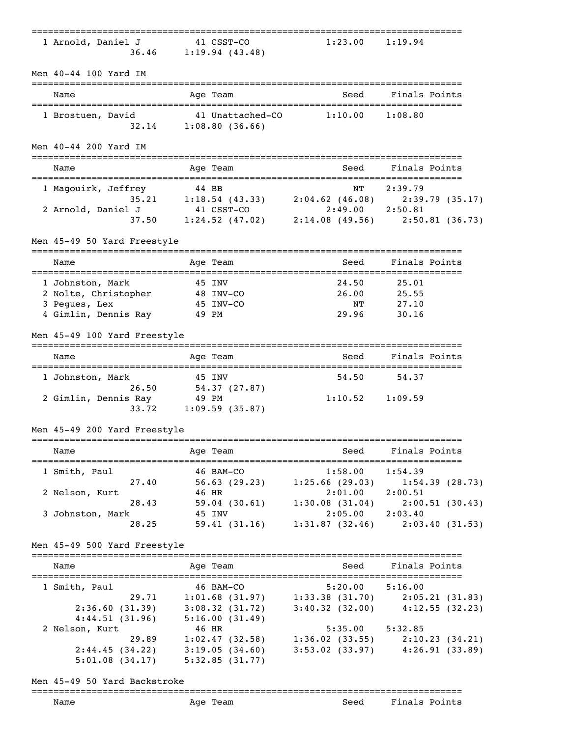|                                                    |                                                                                       |                           | ================================                |
|----------------------------------------------------|---------------------------------------------------------------------------------------|---------------------------|-------------------------------------------------|
| 1 Arnold, Daniel J                                 | 41 CSST-CO<br>$36.46$ 1:19.94 (43.48)                                                 | $1:23.00$ $1:19.94$       |                                                 |
| Men 40-44 100 Yard IM<br>_________________________ |                                                                                       |                           |                                                 |
| Name                                               | Age Team                                                                              | Seed                      | Finals Points                                   |
| 1 Brostuen, David                                  | 41 Unattached-CO<br>$32.14$ 1:08.80 (36.66)                                           | $1:10.00$ $1:08.80$       |                                                 |
| Men 40-44 200 Yard IM                              |                                                                                       |                           |                                                 |
| Name                                               | Age Team                                                                              | Seed                      | Finals Points                                   |
| 1 Magouirk, Jeffrey                                | 44 BB                                                                                 | ΝT                        | 2:39.79                                         |
|                                                    | 35.21 1:18.54 (43.33) 2:04.62 (46.08) 2:39.79 (35.17)<br>J 41 CSST-CO 2:49.00 2:50.81 |                           |                                                 |
| 2 Arnold, Daniel J                                 | 37.50   1:24.52 (47.02)   2:14.08 (49.56)   2:50.81 (36.73)                           |                           |                                                 |
|                                                    |                                                                                       |                           |                                                 |
| Men 45-49 50 Yard Freestyle                        | =====                                                                                 |                           |                                                 |
| Name                                               | Age Team                                                                              | Seed                      | Finals Points                                   |
| 1 Johnston, Mark                                   | 45 INV                                                                                | 24.50                     | 25.01                                           |
|                                                    |                                                                                       | 26.00                     | 25.55                                           |
| 2 Nolte, Christopher<br>3 Pegues, Lex<br>45 INV-CO |                                                                                       | $N\mathbf{T}$             | 27.10                                           |
| 4 Gimlin, Dennis Ray 49 PM                         |                                                                                       | 29.96                     | 30.16                                           |
| Men 45-49 100 Yard Freestyle                       |                                                                                       |                           |                                                 |
| Name                                               | Age Team                                                                              | Seed                      | Finals Points                                   |
| 1 Johnston, Mark                                   | 45 INV                                                                                | 54.50                     | 54.37                                           |
| 2 Gimlin, Dennis Ray 49 PM                         | 26.50 54.37 (27.87)<br>33.72 1:09.59 (35.87)                                          | $1:10.52$ $1:09.59$       |                                                 |
| Men 45-49 200 Yard Freestyle                       |                                                                                       |                           |                                                 |
| Name                                               | Age Team                                                                              | Seed                      | ______________________________<br>Finals Points |
| ================================                   |                                                                                       |                           |                                                 |
| 1 Smith, Paul<br>27.40                             | 46 BAM-CO<br>56.63(29.23)                                                             | 1:58.00<br>1:25.66(29.03) | 1:54.39<br>1:54.39(28.73)                       |
| 2 Nelson, Kurt                                     | 46 HR                                                                                 | $2:01.00$ $2:00.51$       |                                                 |
| 28.43                                              | 59.04(30.61)                                                                          | 1:30.08(31.04)            | 2:00.51(30.43)                                  |
| 3 Johnston, Mark                                   | 45 INV                                                                                | $2:05.00$ $2:03.40$       |                                                 |
| 28.25                                              | 59.41(31.16)                                                                          |                           | $1:31.87$ (32.46) $2:03.40$ (31.53)             |
| Men 45-49 500 Yard Freestyle                       |                                                                                       |                           |                                                 |
| Name                                               | Age Team                                                                              | Seed                      | Finals Points                                   |
| 1 Smith, Paul                                      | 46 BAM-CO                                                                             | $5:20.00$ $5:16.00$       |                                                 |
| 29.71                                              | $1:01.68 (31.97) \qquad 1:33.38 (31.70) \qquad 2:05.21 (31.83)$                       |                           |                                                 |
| 2:36.60(31.39)                                     | $3:08.32$ (31.72) $3:40.32$ (32.00) $4:12.55$ (32.23)                                 |                           |                                                 |
| 4:44.51(31.96)                                     | 5:16.00(31.49)                                                                        |                           |                                                 |
| 2 Nelson, Kurt                                     | 46 HR                                                                                 | $5:35.00$ $5:32.85$       |                                                 |
| 29.89                                              | $1:02.47$ (32.58) $1:36.02$ (33.55) $2:10.23$ (34.21)                                 |                           |                                                 |
|                                                    | $2:44.45(34.22)$ $3:19.05(34.60)$                                                     |                           | $3:53.02$ (33.97) $4:26.91$ (33.89)             |
|                                                    | $5:01.08$ (34.17) $5:32.85$ (31.77)                                                   |                           |                                                 |
| Men 45-49 50 Yard Backstroke                       |                                                                                       |                           |                                                 |
|                                                    |                                                                                       |                           |                                                 |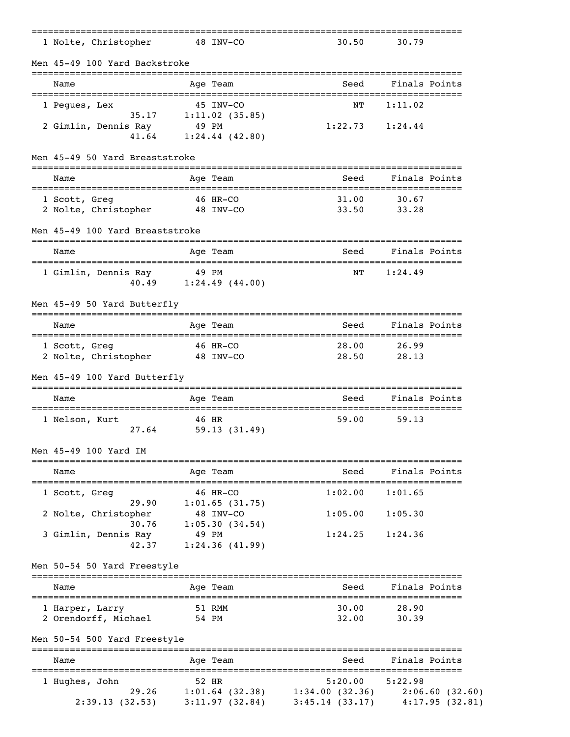| 1 Nolte, Christopher                                              | 48 INV-CO       |                              | 30.50                                                                              | 30.79                      |                |
|-------------------------------------------------------------------|-----------------|------------------------------|------------------------------------------------------------------------------------|----------------------------|----------------|
| Men 45-49 100 Yard Backstroke                                     |                 |                              | ------------------------------                                                     |                            |                |
| Name                                                              |                 | Age Team                     | Seed                                                                               | Finals Points              |                |
| 1 Peques, Lex<br>35.17                                            |                 | 45 INV-CO<br>1:11.02(35.85)  | NΤ                                                                                 | 1:11.02                    |                |
| 2 Gimlin, Dennis Ray                                              | 49 PM           | $41.64$ $1:24.44$ $(42.80)$  | $1:22.73$ $1:24.44$                                                                |                            |                |
| Men 45-49 50 Yard Breaststroke<br>=============================== |                 |                              |                                                                                    |                            |                |
| Name<br>=====================================                     |                 | Age Team                     | Seed                                                                               | Finals Points              |                |
| 1 Scott, Greq<br>2 Nolte, Christopher 48 INV-CO                   | 46 HR-CO        |                              | 31.00<br>33.50                                                                     | 30.67<br>33.28             |                |
| Men 45-49 100 Yard Breaststroke                                   |                 |                              |                                                                                    |                            |                |
| Name                                                              |                 | Age Team                     | Seed<br>_________________________                                                  | Finals Points              |                |
| 1 Gimlin, Dennis Ray 19 PM                                        |                 | 40.49 $1:24.49$ (44.00)      | NΤ                                                                                 | 1:24.49                    |                |
| Men 45-49 50 Yard Butterfly                                       |                 |                              |                                                                                    |                            |                |
| Name                                                              |                 | Age Team                     | Seed                                                                               | Finals Points              |                |
| 1 Scott, Greg<br>2 Nolte, Christopher 48 INV-CO                   |                 | 46 HR-CO                     | 28.00<br>28.50                                                                     | 26.99<br>28.13             |                |
| Men 45-49 100 Yard Butterfly                                      |                 |                              |                                                                                    |                            |                |
| Name                                                              |                 | Aqe Team                     | Seed                                                                               | Finals Points              |                |
| 1 Nelson, Kurt<br>27.64                                           | 46 HR           | 59.13(31.49)                 | 59.00                                                                              | 59.13                      |                |
| Men 45-49 100 Yard IM                                             |                 |                              |                                                                                    |                            |                |
| Name<br>===================                                       |                 | Age Team                     | Seed                                                                               | Finals Points              |                |
| 1 Scott, Greg<br>29.90                                            |                 | 46 HR-CO<br>1:01.65(31.75)   | 1:02.00                                                                            | 1:01.65                    |                |
| 2 Nolte, Christopher<br>30.76                                     |                 | 48 INV-CO<br>1:05.30(34.54)  | 1:05.00                                                                            | 1:05.30                    |                |
| 3 Gimlin, Dennis Ray<br>42.37                                     |                 | 49 PM<br>1:24.36(41.99)      | 1:24.25                                                                            | 1:24.36                    |                |
| Men 50-54 50 Yard Freestyle                                       |                 |                              |                                                                                    |                            |                |
| Name                                                              |                 | Age Team                     | Seed                                                                               | Finals Points              |                |
| 1 Harper, Larry<br>2 Orendorff, Michael                           | 51 RMM<br>54 PM |                              | 30.00<br>32.00                                                                     | 28.90<br>30.39             |                |
| Men 50-54 500 Yard Freestyle                                      |                 |                              |                                                                                    |                            |                |
| ==================<br>Name                                        | _______         | ----------------<br>Aqe Team | Seed                                                                               | Finals Points              |                |
| 1 Hughes, John<br>29.26<br>2:39.13(32.53)                         |                 | 52 HR<br>3:11.97(32.84)      | 5:20.00<br>$1:01.64$ (32.38) $1:34.00$ (32.36) $2:06.60$ (32.60)<br>3:45.14(33.17) | :==============<br>5:22.98 | 4:17.95(32.81) |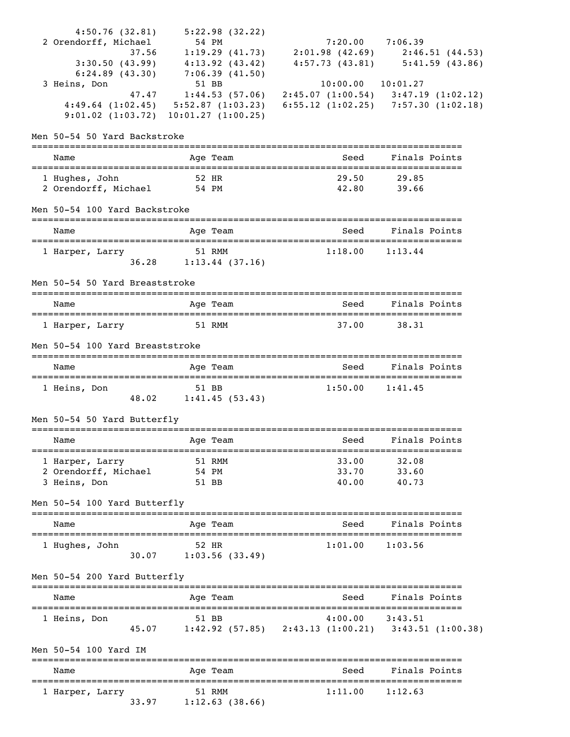| 4:50.76(32.81)                               |       | 5:22.98(32.22)          |                                                                                                                                                                                                      |                                     |
|----------------------------------------------|-------|-------------------------|------------------------------------------------------------------------------------------------------------------------------------------------------------------------------------------------------|-------------------------------------|
| 2 Orendorff, Michael                         |       | 54 PM                   | $7:20.00$ $7:06.39$                                                                                                                                                                                  |                                     |
| 37.56                                        |       |                         | $1:19.29$ (41.73) $2:01.98$ (42.69) $2:46.51$ (44.53)                                                                                                                                                |                                     |
| 3:30.50(43.99)                               |       | 4:13.92(43.42)          |                                                                                                                                                                                                      | $4:57.73$ (43.81) $5:41.59$ (43.86) |
| $6:24.89$ $(43.30)$                          |       | 7:06.39(41.50)          |                                                                                                                                                                                                      |                                     |
| 3 Heins, Don                                 |       | 51 BB<br>1:44.53(57.06) | $10:00.00$ $10:01.27$                                                                                                                                                                                |                                     |
|                                              |       |                         | $\begin{array}{cccccc} & 47.47 & 1:44.53 & (57.06) & 2:45.07 & (1:00.54) & 3:47.19 & (1:02.12) \\ 4:49.64 & (1:02.45) & 5:52.87 & (1:03.23) & 6:55.12 & (1:02.25) & 7:57.30 & (1:02.18) \end{array}$ |                                     |
| $9:01.02$ $(1:03.72)$ $10:01.27$ $(1:00.25)$ |       |                         |                                                                                                                                                                                                      |                                     |
|                                              |       |                         |                                                                                                                                                                                                      |                                     |
| Men 50-54 50 Yard Backstroke                 |       |                         |                                                                                                                                                                                                      |                                     |
|                                              |       |                         |                                                                                                                                                                                                      |                                     |
| Name                                         |       | Age Team                | Seed                                                                                                                                                                                                 | Finals Points                       |
| 1 Hughes, John                               | 52 HR |                         | 29.50                                                                                                                                                                                                | 29.85                               |
| 2 Orendorff, Michael 54 PM                   |       |                         | 42.80                                                                                                                                                                                                | 39.66                               |
|                                              |       |                         |                                                                                                                                                                                                      |                                     |
| Men 50-54 100 Yard Backstroke                |       |                         |                                                                                                                                                                                                      |                                     |
|                                              |       |                         |                                                                                                                                                                                                      |                                     |
| Name<br>========================             |       | Age Team                | Seed                                                                                                                                                                                                 | Finals Points                       |
| 1 Harper, Larry                              |       | 51 RMM                  | 1:18.00                                                                                                                                                                                              | 1:13.44                             |
|                                              | 36.28 | $1:13.44$ (37.16)       |                                                                                                                                                                                                      |                                     |
|                                              |       |                         |                                                                                                                                                                                                      |                                     |
| Men 50-54 50 Yard Breaststroke               |       |                         |                                                                                                                                                                                                      |                                     |
|                                              |       |                         |                                                                                                                                                                                                      |                                     |
| Name                                         |       | Age Team                | Seed                                                                                                                                                                                                 | Finals Points                       |
|                                              |       | 51 RMM                  | 37.00                                                                                                                                                                                                | 38.31                               |
| 1 Harper, Larry                              |       |                         |                                                                                                                                                                                                      |                                     |
| Men 50-54 100 Yard Breaststroke              |       |                         |                                                                                                                                                                                                      |                                     |
|                                              |       |                         |                                                                                                                                                                                                      |                                     |
| Name                                         |       | Age Team                | Seed                                                                                                                                                                                                 | Finals Points                       |
| ==================================           |       | 51 BB                   |                                                                                                                                                                                                      | 1:41.45                             |
| 1 Heins, Don                                 |       | 48.02 1:41.45 (53.43)   | 1:50.00                                                                                                                                                                                              |                                     |
|                                              |       |                         |                                                                                                                                                                                                      |                                     |
| Men 50-54 50 Yard Butterfly                  |       |                         |                                                                                                                                                                                                      |                                     |
|                                              |       |                         |                                                                                                                                                                                                      |                                     |
| Name                                         |       | Age Team                | Seed                                                                                                                                                                                                 | Finals Points                       |
|                                              |       |                         |                                                                                                                                                                                                      |                                     |
| 1 Harper, Larry                              |       | 51 RMM                  | 33.00                                                                                                                                                                                                | 32.08                               |
| 2 Orendorff, Michael 54 PM<br>3 Heins, Don   |       | 51 BB                   | 33.70<br>40.00                                                                                                                                                                                       | 33.60<br>40.73                      |
|                                              |       |                         |                                                                                                                                                                                                      |                                     |
| Men 50-54 100 Yard Butterfly                 |       |                         |                                                                                                                                                                                                      |                                     |
|                                              |       |                         |                                                                                                                                                                                                      |                                     |
| Name                                         |       | Age Team                | Seed                                                                                                                                                                                                 | Finals Points                       |
|                                              |       |                         |                                                                                                                                                                                                      |                                     |
| 1 Hughes, John                               |       | 52 HR                   | 1:01.00                                                                                                                                                                                              | 1:03.56                             |
|                                              |       | $30.07$ 1:03.56 (33.49) |                                                                                                                                                                                                      |                                     |
| Men 50-54 200 Yard Butterfly                 |       |                         |                                                                                                                                                                                                      |                                     |
|                                              |       |                         |                                                                                                                                                                                                      |                                     |
| Name                                         |       | Age Team                | Seed                                                                                                                                                                                                 | Finals Points                       |
|                                              |       |                         |                                                                                                                                                                                                      |                                     |
| 1 Heins, Don                                 |       | 51 BB                   | $4:00.00$ $3:43.51$                                                                                                                                                                                  |                                     |
|                                              | 45.07 |                         | $1:42.92$ (57.85) $2:43.13$ (1:00.21) $3:43.51$ (1:00.38)                                                                                                                                            |                                     |
| Men 50-54 100 Yard IM                        |       |                         |                                                                                                                                                                                                      |                                     |
|                                              |       |                         |                                                                                                                                                                                                      |                                     |
| Name                                         |       | Age Team                | Seed                                                                                                                                                                                                 | Finals Points                       |
|                                              |       |                         |                                                                                                                                                                                                      |                                     |
| 1 Harper, Larry                              |       | 51 RMM                  | 1:11.00                                                                                                                                                                                              | 1:12.63                             |
|                                              |       | 33.97 1:12.63 (38.66)   |                                                                                                                                                                                                      |                                     |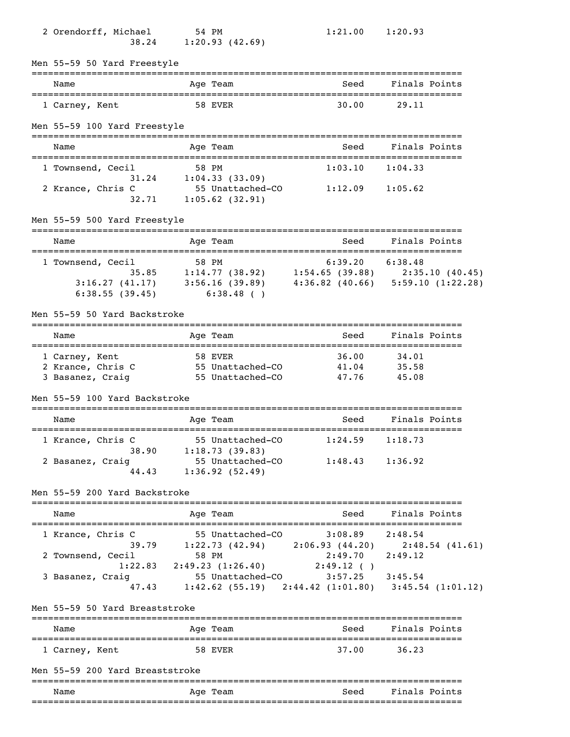| 2 Orendorff, Michael                                    | 54 PM<br>38.24 1:20.93 (42.69)                                                                                                                                              | 1:21.00                            | 1:20.93                 |
|---------------------------------------------------------|-----------------------------------------------------------------------------------------------------------------------------------------------------------------------------|------------------------------------|-------------------------|
| Men 55-59 50 Yard Freestyle<br>=================        | ======================                                                                                                                                                      | ---------------------------------- |                         |
| Name                                                    | Age Team<br>-----------                                                                                                                                                     | Seed                               | Finals Points           |
| 1 Carney, Kent                                          | 58 EVER                                                                                                                                                                     | 30.00                              | 29.11                   |
| Men 55-59 100 Yard Freestyle                            |                                                                                                                                                                             |                                    |                         |
| Name                                                    | Age Team                                                                                                                                                                    | Seed                               | Finals Points           |
| 1 Townsend, Cecil                                       | 58 PM<br>$31.24$ $1:04.33$ (33.09)                                                                                                                                          | 1:03.10                            | 1:04.33                 |
| 2 Krance, Chris C                                       | 55 Unattached-CO<br>$32.71$ 1:05.62 (32.91)                                                                                                                                 | $1:12.09$ $1:05.62$                |                         |
| Men 55-59 500 Yard Freestyle                            |                                                                                                                                                                             |                                    |                         |
| Name<br>====================================            | Age Team                                                                                                                                                                    | Seed                               | Finals Points           |
| 1 Townsend, Cecil                                       | 58 PM<br>35.85 1:14.77 (38.92) 1:54.65 (39.88) 2:35.10 (40.45)<br>$3:16.27$ (41.17) $3:56.16$ (39.89) $4:36.82$ (40.66) $5:59.10$ (1:22.28)<br>$6:38.55(39.45)$ $6:38.48()$ | $6:39.20$ $6:38.48$                |                         |
| Men 55-59 50 Yard Backstroke                            |                                                                                                                                                                             |                                    |                         |
| Name                                                    | Age Team                                                                                                                                                                    | Seed                               | Finals Points           |
| 1 Carney, Kent<br>2 Krance, Chris C<br>3 Basanez, Craig | 58 EVER<br>55 Unattached-CO<br>55 Unattached-CO                                                                                                                             | 36.00<br>41.04<br>47.76            | 34.01<br>35.58<br>45.08 |
| Men 55-59 100 Yard Backstroke                           |                                                                                                                                                                             |                                    |                         |
| Name<br>==================================              | Age Team                                                                                                                                                                    | Seed                               | Finals Points           |
| 1 Krance, Chris C                                       | 55 Unattached-CO 1:24.59 1:18.73<br>38.90 1:18.73 (39.83)                                                                                                                   |                                    |                         |
| 2 Basanez, Craig                                        | 55 Unattached-CO 1:48.43 1:36.92<br>44.43 1:36.92 (52.49)                                                                                                                   |                                    |                         |
| Men 55-59 200 Yard Backstroke                           |                                                                                                                                                                             |                                    |                         |
| Name                                                    | Age Team                                                                                                                                                                    | Seed                               | Finals Points           |
| 1 Krance, Chris C<br>2 Townsend, Cecil                  | 55 Unattached-CO 3:08.89 2:48.54<br>39.79 1:22.73 (42.94) 2:06.93 (44.20) 2:48.54 (41.61)<br>58 PM                                                                          | $2:49.70$ $2:49.12$                |                         |
| 3 Basanez, Craig                                        | 1:22.83 2:49.23 $(1:26.40)$ 2:49.12 ()<br>55 Unattached-CO 3:57.25 3:45.54<br>47.43 1:42.62 (55.19) 2:44.42 (1:01.80) 3:45.54 (1:01.12)                                     |                                    |                         |
| Men 55-59 50 Yard Breaststroke                          |                                                                                                                                                                             |                                    |                         |
| Name                                                    | Age Team                                                                                                                                                                    |                                    | Seed Finals Points      |
| 1 Carney, Kent                                          | 58 EVER                                                                                                                                                                     |                                    | 37.00 36.23             |
| Men 55-59 200 Yard Breaststroke                         |                                                                                                                                                                             |                                    |                         |
| Name                                                    | Age Team                                                                                                                                                                    | Seed                               | Finals Points           |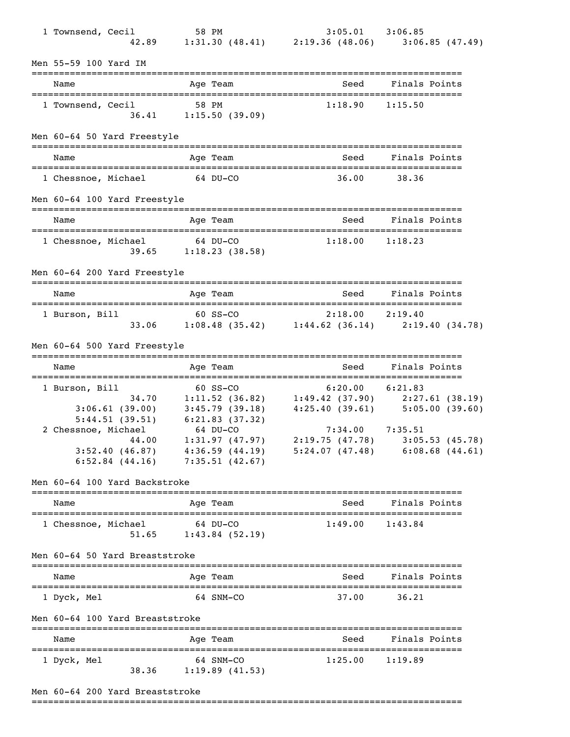| 1 Townsend, Cecil                |                                                                                                                     |            |                                                    | 1 58 PM<br>42.89 1:31.30 (48.41) 2:19.36 (48.06) 3:06.85 (47.49)                                                                                                                                                                                 |                    |  |
|----------------------------------|---------------------------------------------------------------------------------------------------------------------|------------|----------------------------------------------------|--------------------------------------------------------------------------------------------------------------------------------------------------------------------------------------------------------------------------------------------------|--------------------|--|
| Men 55-59 100 Yard IM            |                                                                                                                     |            |                                                    |                                                                                                                                                                                                                                                  |                    |  |
| Name<br>======================== |                                                                                                                     |            | Age Team                                           | Seed                                                                                                                                                                                                                                             | Finals Points      |  |
| 1 Townsend, Cecil                |                                                                                                                     | 58 PM      | $36.41$ 1:15.50 (39.09)                            | 1:18.90                                                                                                                                                                                                                                          | 1:15.50            |  |
|                                  | Men 60-64 50 Yard Freestyle                                                                                         |            |                                                    |                                                                                                                                                                                                                                                  |                    |  |
| Name                             |                                                                                                                     |            | Age Team                                           | Seed                                                                                                                                                                                                                                             | Finals Points      |  |
|                                  | 1 Chessnoe, Michael 64 DU-CO                                                                                        |            |                                                    | 36.00                                                                                                                                                                                                                                            | 38.36              |  |
|                                  | Men 60-64 100 Yard Freestyle                                                                                        |            |                                                    |                                                                                                                                                                                                                                                  |                    |  |
| Name                             | =====================================                                                                               |            | Age Team                                           |                                                                                                                                                                                                                                                  | Seed Finals Points |  |
| 1 Chessnoe, Michael              |                                                                                                                     | $64$ DU-CO | $39.65$ 1:18.23 (38.58)                            | 1:18.00                                                                                                                                                                                                                                          | 1:18.23            |  |
|                                  | Men 60-64 200 Yard Freestyle                                                                                        |            |                                                    |                                                                                                                                                                                                                                                  |                    |  |
| Name                             |                                                                                                                     |            | Age Team                                           | Seed                                                                                                                                                                                                                                             | Finals Points      |  |
| 1 Burson, Bill                   |                                                                                                                     | $60$ SS-CO |                                                    | $2:18.00$ $2:19.40$<br>$60$ SS-CO $2:18.00$ $2:19.40$<br>33.06 $1:08.48$ (35.42) $1:44.62$ (36.14) $2:19.40$ (34.78)                                                                                                                             |                    |  |
|                                  | Men 60-64 500 Yard Freestyle                                                                                        |            |                                                    |                                                                                                                                                                                                                                                  |                    |  |
| Name                             |                                                                                                                     |            | Age Team                                           |                                                                                                                                                                                                                                                  | Seed Finals Points |  |
| 1 Burson, Bill                   | $5:44.51$ (39.51) 6:21.83 (37.32)<br>2 Chessnoe, Michael 64 DU-CO<br>44.00<br>3:52.40(46.87)<br>$6:52.84$ $(44.16)$ |            | 1:31.97(47.97)<br>4:36.59(44.19)<br>7:35.51(42.67) | $60$ SS-CO $6:20.00$ $6:21.83$<br>34.70 1:11.52 (36.82) 1:49.42 (37.90) 2:27.61 (38.19)<br>$3:06.61$ (39.00) $3:45.79$ (39.18) $4:25.40$ (39.61) $5:05.00$ (39.60)<br>$7:34.00$ $7:35.51$<br>2:19.75(47.78)<br>$5:24.07(47.48)$ $6:08.68(44.61)$ | 3:05.53(45.78)     |  |
|                                  | Men 60-64 100 Yard Backstroke                                                                                       |            |                                                    |                                                                                                                                                                                                                                                  |                    |  |
| Name                             |                                                                                                                     |            | Age Team                                           | Seed                                                                                                                                                                                                                                             | Finals Points      |  |
| 1 Chessnoe, Michael              | 51.65                                                                                                               |            | 64 DU-CO<br>$1:43.84$ (52.19)                      | 1:49.00                                                                                                                                                                                                                                          | 1:43.84            |  |
|                                  | Men 60-64 50 Yard Breaststroke                                                                                      |            |                                                    |                                                                                                                                                                                                                                                  |                    |  |
| Name                             |                                                                                                                     |            | Age Team                                           | Seed                                                                                                                                                                                                                                             | Finals Points      |  |
| 1 Dyck, Mel                      |                                                                                                                     |            | 64 SNM-CO                                          | 37.00                                                                                                                                                                                                                                            | 36.21              |  |
|                                  | Men 60-64 100 Yard Breaststroke                                                                                     |            |                                                    |                                                                                                                                                                                                                                                  |                    |  |
| Name                             | =====================================                                                                               |            | Age Team                                           | Seed                                                                                                                                                                                                                                             | Finals Points      |  |
| 1 Dyck, Mel                      | 38.36                                                                                                               |            | 64 SNM-CO<br>1:19.89(41.53)                        | 1:25.00                                                                                                                                                                                                                                          | 1:19.89            |  |

Men 60-64 200 Yard Breaststroke

<sup>===============================================================================</sup>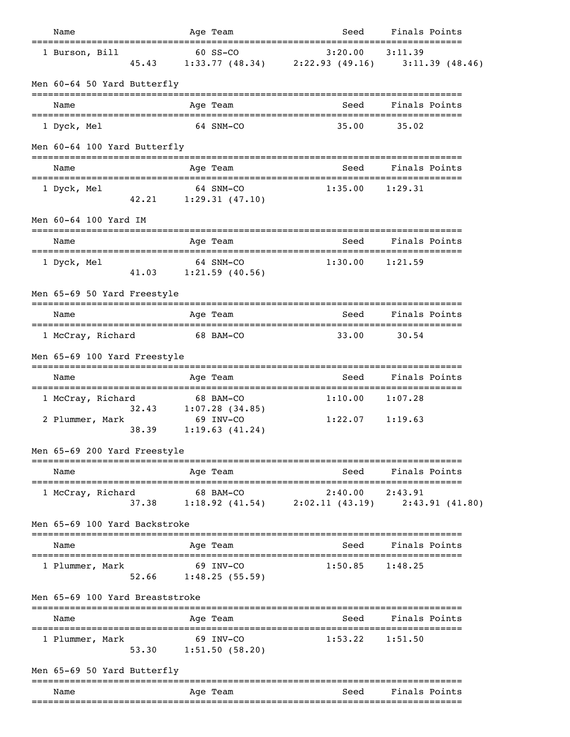| Name                                                               |       |              | Age Team                               | Seed                                                             | Finals Points                         |                |
|--------------------------------------------------------------------|-------|--------------|----------------------------------------|------------------------------------------------------------------|---------------------------------------|----------------|
| 1 Burson, Bill                                                     | 45.43 |              | 60 SS-CO                               | 3:20.00<br>$1:33.77$ (48.34) $2:22.93$ (49.16)                   | 3:11.39                               | 3:11.39(48.46) |
| Men 60-64 50 Yard Butterfly                                        |       |              |                                        |                                                                  |                                       |                |
| Name                                                               |       |              | Age Team                               | Seed                                                             | Finals Points                         |                |
| 1 Dyck, Mel                                                        |       |              | 64 SNM-CO                              | 35.00                                                            | 35.02                                 |                |
| Men 60-64 100 Yard Butterfly                                       |       |              |                                        |                                                                  |                                       |                |
| Name                                                               |       |              | Age Team                               | Seed                                                             | Finals Points                         |                |
| 1 Dyck, Mel                                                        | 42.21 |              | 64 SNM-CO<br>1:29.31(47.10)            | 1:35.00                                                          | 1:29.31                               |                |
| Men 60-64 100 Yard IM                                              |       |              |                                        |                                                                  |                                       |                |
| Name<br>----------------                                           |       | ;=========== | Age Team                               | Seed<br>--------------------------------                         | Finals Points                         |                |
| 1 Dyck, Mel                                                        |       |              | 64 SNM-CO<br>$41.03$ $1:21.59$ (40.56) | 1:30.00                                                          | 1:21.59                               |                |
| Men 65-69 50 Yard Freestyle                                        |       |              |                                        |                                                                  |                                       |                |
| Name                                                               |       |              | Age Team                               | Seed                                                             | Finals Points                         |                |
| 1 McCray, Richard                                                  |       |              | 68 BAM-CO                              | 33.00                                                            | 30.54                                 |                |
| Men 65-69 100 Yard Freestyle                                       |       |              |                                        |                                                                  |                                       |                |
| Name<br>=====================================                      |       |              | Age Team                               | Seed                                                             | Finals Points                         |                |
| 1 McCray, Richard                                                  |       |              | 68 BAM-CO<br>32.43 1:07.28 (34.85)     | 1:10.00                                                          | 1:07.28                               |                |
| 2 Plummer, Mark                                                    | 38.39 |              | 69 INV-CO<br>1:19.63(41.24)            | 1:22.07                                                          | 1:19.63                               |                |
| Men 65-69 200 Yard Freestyle                                       |       |              | -----------------                      |                                                                  |                                       |                |
| Name                                                               |       |              | Age Team                               | Seed                                                             | Finals Points                         |                |
| 1 McCray, Richard                                                  |       |              | 68 BAM-CO                              | 2:40.00<br>37.38 1:18.92 (41.54) 2:02.11 (43.19) 2:43.91 (41.80) | 2:43.91                               |                |
| Men 65-69 100 Yard Backstroke                                      |       |              |                                        |                                                                  |                                       |                |
| Name                                                               |       |              | Age Team                               | Seed                                                             | Finals Points                         |                |
| 1 Plummer, Mark                                                    |       |              | 69 INV-CO<br>$52.66$ 1:48.25 (55.59)   | 1:50.85                                                          | 1:48.25                               |                |
| Men 65-69 100 Yard Breaststroke<br>=============================== |       |              |                                        |                                                                  |                                       |                |
| Name<br>=====================================                      |       |              | Age Team                               | Seed<br>______________________                                   | Finals Points<br>==================== |                |
| 1 Plummer, Mark                                                    |       |              | 69 INV-CO<br>53.30 1:51.50 (58.20)     | 1:53.22                                                          | 1:51.50                               |                |
| Men 65-69 50 Yard Butterfly                                        |       |              | ====================================== | ===================================                              |                                       |                |
| Name                                                               |       |              | Age Team                               | Seed                                                             | Finals Points                         |                |
|                                                                    |       |              |                                        |                                                                  |                                       |                |